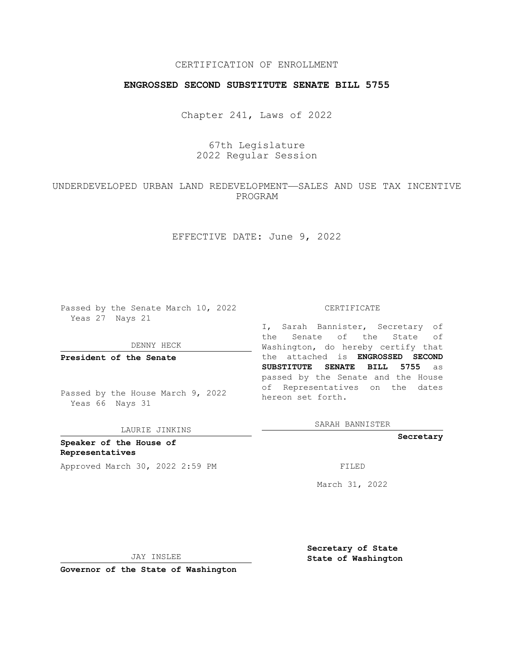## CERTIFICATION OF ENROLLMENT

## **ENGROSSED SECOND SUBSTITUTE SENATE BILL 5755**

Chapter 241, Laws of 2022

# 67th Legislature 2022 Regular Session

## UNDERDEVELOPED URBAN LAND REDEVELOPMENT—SALES AND USE TAX INCENTIVE PROGRAM

EFFECTIVE DATE: June 9, 2022

Passed by the Senate March 10, 2022 Yeas 27 Nays 21

DENNY HECK

**President of the Senate**

Passed by the House March 9, 2022 Yeas 66 Nays 31

LAURIE JINKINS

**Speaker of the House of Representatives** Approved March 30, 2022 2:59 PM

#### CERTIFICATE

I, Sarah Bannister, Secretary of the Senate of the State of Washington, do hereby certify that the attached is **ENGROSSED SECOND SUBSTITUTE SENATE BILL 5755** as passed by the Senate and the House of Representatives on the dates hereon set forth.

SARAH BANNISTER

**Secretary**

March 31, 2022

JAY INSLEE

**Secretary of State State of Washington**

**Governor of the State of Washington**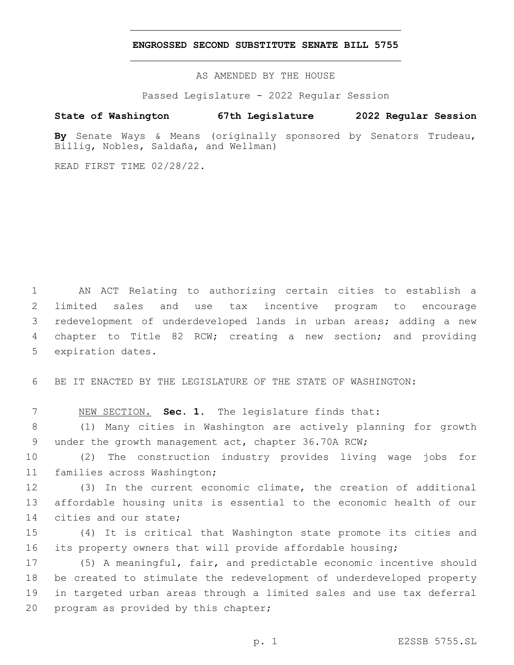### **ENGROSSED SECOND SUBSTITUTE SENATE BILL 5755**

AS AMENDED BY THE HOUSE

Passed Legislature - 2022 Regular Session

# **State of Washington 67th Legislature 2022 Regular Session**

**By** Senate Ways & Means (originally sponsored by Senators Trudeau, Billig, Nobles, Saldaña, and Wellman)

READ FIRST TIME 02/28/22.

 AN ACT Relating to authorizing certain cities to establish a limited sales and use tax incentive program to encourage redevelopment of underdeveloped lands in urban areas; adding a new chapter to Title 82 RCW; creating a new section; and providing 5 expiration dates.

6 BE IT ENACTED BY THE LEGISLATURE OF THE STATE OF WASHINGTON:

7 NEW SECTION. **Sec. 1.** The legislature finds that:

8 (1) Many cities in Washington are actively planning for growth 9 under the growth management act, chapter 36.70A RCW;

10 (2) The construction industry provides living wage jobs for 11 families across Washington;

12 (3) In the current economic climate, the creation of additional 13 affordable housing units is essential to the economic health of our 14 cities and our state;

15 (4) It is critical that Washington state promote its cities and 16 its property owners that will provide affordable housing;

 (5) A meaningful, fair, and predictable economic incentive should be created to stimulate the redevelopment of underdeveloped property in targeted urban areas through a limited sales and use tax deferral 20 program as provided by this chapter;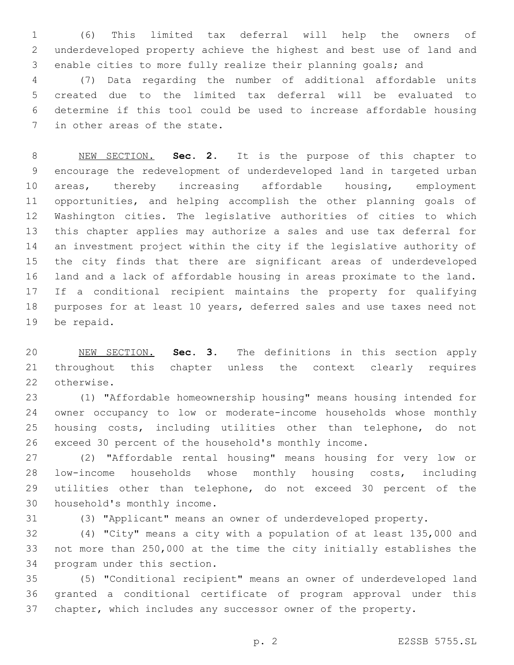(6) This limited tax deferral will help the owners of underdeveloped property achieve the highest and best use of land and enable cities to more fully realize their planning goals; and

 (7) Data regarding the number of additional affordable units created due to the limited tax deferral will be evaluated to determine if this tool could be used to increase affordable housing 7 in other areas of the state.

 NEW SECTION. **Sec. 2.** It is the purpose of this chapter to encourage the redevelopment of underdeveloped land in targeted urban areas, thereby increasing affordable housing, employment opportunities, and helping accomplish the other planning goals of Washington cities. The legislative authorities of cities to which this chapter applies may authorize a sales and use tax deferral for an investment project within the city if the legislative authority of the city finds that there are significant areas of underdeveloped land and a lack of affordable housing in areas proximate to the land. If a conditional recipient maintains the property for qualifying purposes for at least 10 years, deferred sales and use taxes need not be repaid.

 NEW SECTION. **Sec. 3.** The definitions in this section apply throughout this chapter unless the context clearly requires otherwise.

 (1) "Affordable homeownership housing" means housing intended for owner occupancy to low or moderate-income households whose monthly housing costs, including utilities other than telephone, do not exceed 30 percent of the household's monthly income.

 (2) "Affordable rental housing" means housing for very low or low-income households whose monthly housing costs, including utilities other than telephone, do not exceed 30 percent of the 30 household's monthly income.

(3) "Applicant" means an owner of underdeveloped property.

 (4) "City" means a city with a population of at least 135,000 and not more than 250,000 at the time the city initially establishes the 34 program under this section.

 (5) "Conditional recipient" means an owner of underdeveloped land granted a conditional certificate of program approval under this chapter, which includes any successor owner of the property.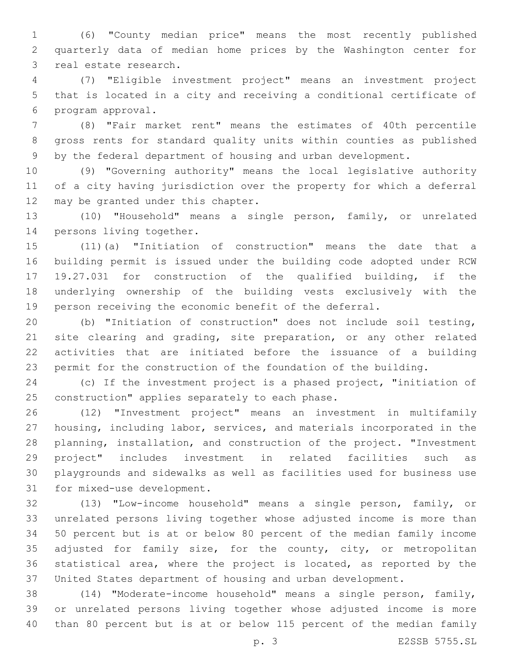(6) "County median price" means the most recently published quarterly data of median home prices by the Washington center for 3 real estate research.

 (7) "Eligible investment project" means an investment project that is located in a city and receiving a conditional certificate of 6 program approval.

 (8) "Fair market rent" means the estimates of 40th percentile gross rents for standard quality units within counties as published by the federal department of housing and urban development.

 (9) "Governing authority" means the local legislative authority of a city having jurisdiction over the property for which a deferral 12 may be granted under this chapter.

 (10) "Household" means a single person, family, or unrelated 14 persons living together.

 (11)(a) "Initiation of construction" means the date that a building permit is issued under the building code adopted under RCW 19.27.031 for construction of the qualified building, if the underlying ownership of the building vests exclusively with the person receiving the economic benefit of the deferral.

 (b) "Initiation of construction" does not include soil testing, 21 site clearing and grading, site preparation, or any other related activities that are initiated before the issuance of a building permit for the construction of the foundation of the building.

 (c) If the investment project is a phased project, "initiation of 25 construction" applies separately to each phase.

 (12) "Investment project" means an investment in multifamily housing, including labor, services, and materials incorporated in the planning, installation, and construction of the project. "Investment project" includes investment in related facilities such as playgrounds and sidewalks as well as facilities used for business use 31 for mixed-use development.

 (13) "Low-income household" means a single person, family, or unrelated persons living together whose adjusted income is more than 50 percent but is at or below 80 percent of the median family income adjusted for family size, for the county, city, or metropolitan statistical area, where the project is located, as reported by the United States department of housing and urban development.

 (14) "Moderate-income household" means a single person, family, or unrelated persons living together whose adjusted income is more than 80 percent but is at or below 115 percent of the median family

p. 3 E2SSB 5755.SL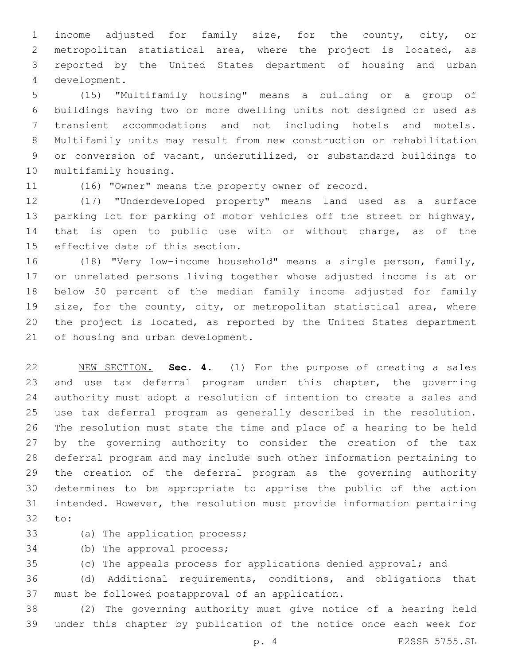income adjusted for family size, for the county, city, or metropolitan statistical area, where the project is located, as reported by the United States department of housing and urban development.4

 (15) "Multifamily housing" means a building or a group of buildings having two or more dwelling units not designed or used as transient accommodations and not including hotels and motels. Multifamily units may result from new construction or rehabilitation or conversion of vacant, underutilized, or substandard buildings to 10 multifamily housing.

(16) "Owner" means the property owner of record.

 (17) "Underdeveloped property" means land used as a surface parking lot for parking of motor vehicles off the street or highway, that is open to public use with or without charge, as of the 15 effective date of this section.

 (18) "Very low-income household" means a single person, family, or unrelated persons living together whose adjusted income is at or below 50 percent of the median family income adjusted for family size, for the county, city, or metropolitan statistical area, where the project is located, as reported by the United States department 21 of housing and urban development.

 NEW SECTION. **Sec. 4.** (1) For the purpose of creating a sales and use tax deferral program under this chapter, the governing authority must adopt a resolution of intention to create a sales and use tax deferral program as generally described in the resolution. The resolution must state the time and place of a hearing to be held by the governing authority to consider the creation of the tax deferral program and may include such other information pertaining to the creation of the deferral program as the governing authority determines to be appropriate to apprise the public of the action intended. However, the resolution must provide information pertaining to:

33 (a) The application process;

34 (b) The approval process;

(c) The appeals process for applications denied approval; and

 (d) Additional requirements, conditions, and obligations that 37 must be followed postapproval of an application.

 (2) The governing authority must give notice of a hearing held under this chapter by publication of the notice once each week for

p. 4 E2SSB 5755.SL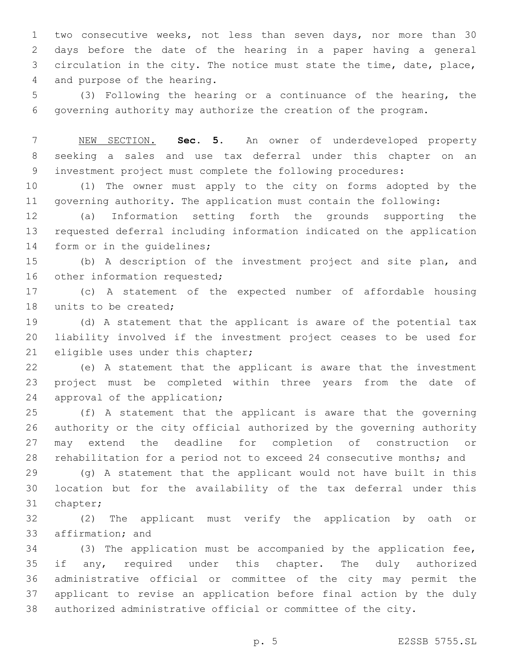two consecutive weeks, not less than seven days, nor more than 30 days before the date of the hearing in a paper having a general circulation in the city. The notice must state the time, date, place, 4 and purpose of the hearing.

 (3) Following the hearing or a continuance of the hearing, the governing authority may authorize the creation of the program.

 NEW SECTION. **Sec. 5.** An owner of underdeveloped property seeking a sales and use tax deferral under this chapter on an investment project must complete the following procedures:

 (1) The owner must apply to the city on forms adopted by the governing authority. The application must contain the following:

 (a) Information setting forth the grounds supporting the requested deferral including information indicated on the application 14 form or in the quidelines;

 (b) A description of the investment project and site plan, and 16 other information requested;

 (c) A statement of the expected number of affordable housing 18 units to be created:

 (d) A statement that the applicant is aware of the potential tax liability involved if the investment project ceases to be used for 21 eligible uses under this chapter;

 (e) A statement that the applicant is aware that the investment project must be completed within three years from the date of 24 approval of the application;

 (f) A statement that the applicant is aware that the governing authority or the city official authorized by the governing authority may extend the deadline for completion of construction or rehabilitation for a period not to exceed 24 consecutive months; and

 (g) A statement that the applicant would not have built in this location but for the availability of the tax deferral under this 31 chapter;

 (2) The applicant must verify the application by oath or 33 affirmation; and

 (3) The application must be accompanied by the application fee, 35 if any, required under this chapter. The duly authorized administrative official or committee of the city may permit the applicant to revise an application before final action by the duly authorized administrative official or committee of the city.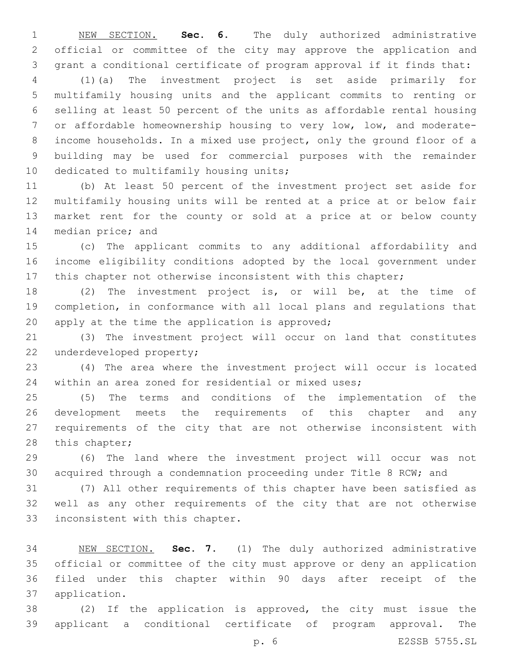NEW SECTION. **Sec. 6.** The duly authorized administrative official or committee of the city may approve the application and grant a conditional certificate of program approval if it finds that:

 (1)(a) The investment project is set aside primarily for multifamily housing units and the applicant commits to renting or selling at least 50 percent of the units as affordable rental housing or affordable homeownership housing to very low, low, and moderate- income households. In a mixed use project, only the ground floor of a building may be used for commercial purposes with the remainder 10 dedicated to multifamily housing units;

 (b) At least 50 percent of the investment project set aside for multifamily housing units will be rented at a price at or below fair market rent for the county or sold at a price at or below county 14 median price; and

 (c) The applicant commits to any additional affordability and income eligibility conditions adopted by the local government under this chapter not otherwise inconsistent with this chapter;

 (2) The investment project is, or will be, at the time of completion, in conformance with all local plans and regulations that 20 apply at the time the application is approved;

 (3) The investment project will occur on land that constitutes 22 underdeveloped property;

 (4) The area where the investment project will occur is located within an area zoned for residential or mixed uses;

 (5) The terms and conditions of the implementation of the development meets the requirements of this chapter and any requirements of the city that are not otherwise inconsistent with 28 this chapter;

 (6) The land where the investment project will occur was not acquired through a condemnation proceeding under Title 8 RCW; and

 (7) All other requirements of this chapter have been satisfied as well as any other requirements of the city that are not otherwise 33 inconsistent with this chapter.

 NEW SECTION. **Sec. 7.** (1) The duly authorized administrative official or committee of the city must approve or deny an application filed under this chapter within 90 days after receipt of the application.

 (2) If the application is approved, the city must issue the applicant a conditional certificate of program approval. The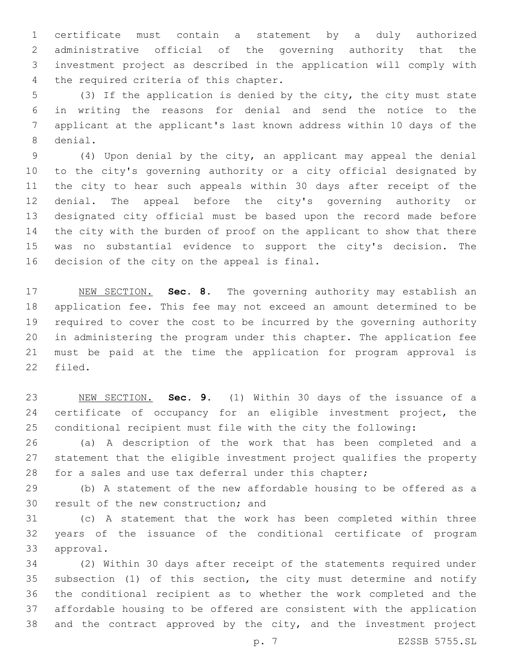certificate must contain a statement by a duly authorized administrative official of the governing authority that the investment project as described in the application will comply with 4 the required criteria of this chapter.

 (3) If the application is denied by the city, the city must state in writing the reasons for denial and send the notice to the applicant at the applicant's last known address within 10 days of the 8 denial.

 (4) Upon denial by the city, an applicant may appeal the denial to the city's governing authority or a city official designated by the city to hear such appeals within 30 days after receipt of the denial. The appeal before the city's governing authority or designated city official must be based upon the record made before the city with the burden of proof on the applicant to show that there was no substantial evidence to support the city's decision. The 16 decision of the city on the appeal is final.

 NEW SECTION. **Sec. 8.** The governing authority may establish an application fee. This fee may not exceed an amount determined to be required to cover the cost to be incurred by the governing authority in administering the program under this chapter. The application fee must be paid at the time the application for program approval is filed.

 NEW SECTION. **Sec. 9.** (1) Within 30 days of the issuance of a 24 certificate of occupancy for an eligible investment project, the conditional recipient must file with the city the following:

 (a) A description of the work that has been completed and a statement that the eligible investment project qualifies the property 28 for a sales and use tax deferral under this chapter;

 (b) A statement of the new affordable housing to be offered as a 30 result of the new construction; and

 (c) A statement that the work has been completed within three years of the issuance of the conditional certificate of program 33 approval.

 (2) Within 30 days after receipt of the statements required under subsection (1) of this section, the city must determine and notify the conditional recipient as to whether the work completed and the affordable housing to be offered are consistent with the application and the contract approved by the city, and the investment project

p. 7 E2SSB 5755.SL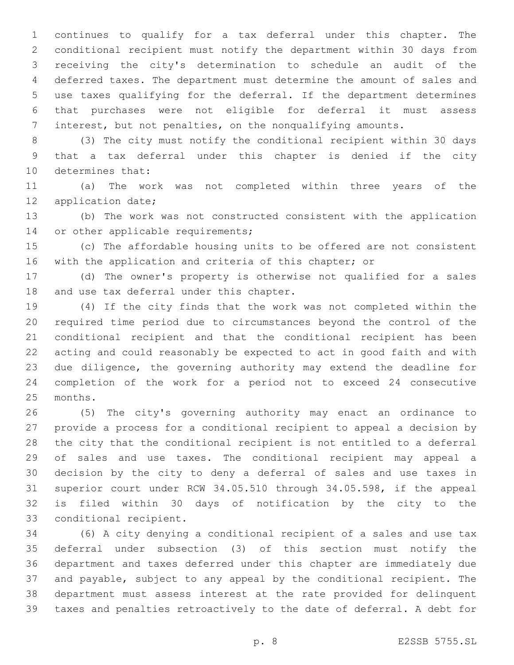continues to qualify for a tax deferral under this chapter. The conditional recipient must notify the department within 30 days from receiving the city's determination to schedule an audit of the deferred taxes. The department must determine the amount of sales and use taxes qualifying for the deferral. If the department determines that purchases were not eligible for deferral it must assess interest, but not penalties, on the nonqualifying amounts.

 (3) The city must notify the conditional recipient within 30 days that a tax deferral under this chapter is denied if the city 10 determines that:

 (a) The work was not completed within three years of the 12 application date;

 (b) The work was not constructed consistent with the application 14 or other applicable requirements;

 (c) The affordable housing units to be offered are not consistent 16 with the application and criteria of this chapter; or

 (d) The owner's property is otherwise not qualified for a sales 18 and use tax deferral under this chapter.

 (4) If the city finds that the work was not completed within the required time period due to circumstances beyond the control of the conditional recipient and that the conditional recipient has been acting and could reasonably be expected to act in good faith and with due diligence, the governing authority may extend the deadline for completion of the work for a period not to exceed 24 consecutive 25 months.

 (5) The city's governing authority may enact an ordinance to provide a process for a conditional recipient to appeal a decision by the city that the conditional recipient is not entitled to a deferral of sales and use taxes. The conditional recipient may appeal a decision by the city to deny a deferral of sales and use taxes in superior court under RCW 34.05.510 through 34.05.598, if the appeal is filed within 30 days of notification by the city to the 33 conditional recipient.

 (6) A city denying a conditional recipient of a sales and use tax deferral under subsection (3) of this section must notify the department and taxes deferred under this chapter are immediately due and payable, subject to any appeal by the conditional recipient. The department must assess interest at the rate provided for delinquent taxes and penalties retroactively to the date of deferral. A debt for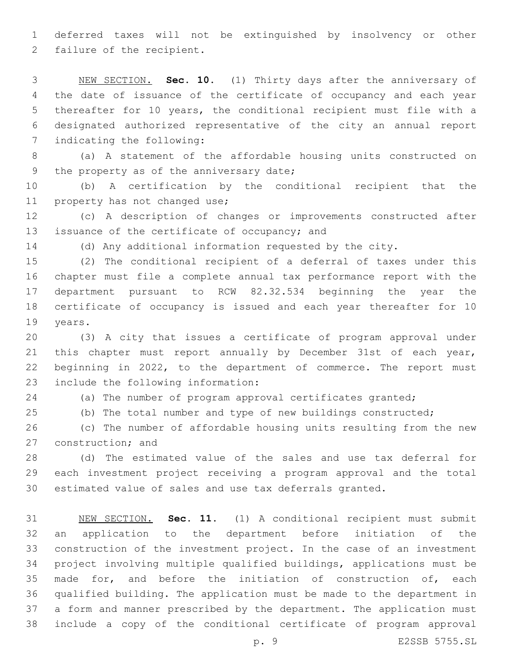deferred taxes will not be extinguished by insolvency or other 2 failure of the recipient.

 NEW SECTION. **Sec. 10.** (1) Thirty days after the anniversary of the date of issuance of the certificate of occupancy and each year thereafter for 10 years, the conditional recipient must file with a designated authorized representative of the city an annual report indicating the following:

 (a) A statement of the affordable housing units constructed on 9 the property as of the anniversary date;

 (b) A certification by the conditional recipient that the 11 property has not changed use;

 (c) A description of changes or improvements constructed after 13 issuance of the certificate of occupancy; and

(d) Any additional information requested by the city.

 (2) The conditional recipient of a deferral of taxes under this chapter must file a complete annual tax performance report with the department pursuant to RCW 82.32.534 beginning the year the certificate of occupancy is issued and each year thereafter for 10 19 years.

 (3) A city that issues a certificate of program approval under this chapter must report annually by December 31st of each year, beginning in 2022, to the department of commerce. The report must 23 include the following information:

(a) The number of program approval certificates granted;

(b) The total number and type of new buildings constructed;

 (c) The number of affordable housing units resulting from the new 27 construction; and

 (d) The estimated value of the sales and use tax deferral for each investment project receiving a program approval and the total estimated value of sales and use tax deferrals granted.

 NEW SECTION. **Sec. 11.** (1) A conditional recipient must submit an application to the department before initiation of the construction of the investment project. In the case of an investment project involving multiple qualified buildings, applications must be 35 made for, and before the initiation of construction of, each qualified building. The application must be made to the department in a form and manner prescribed by the department. The application must include a copy of the conditional certificate of program approval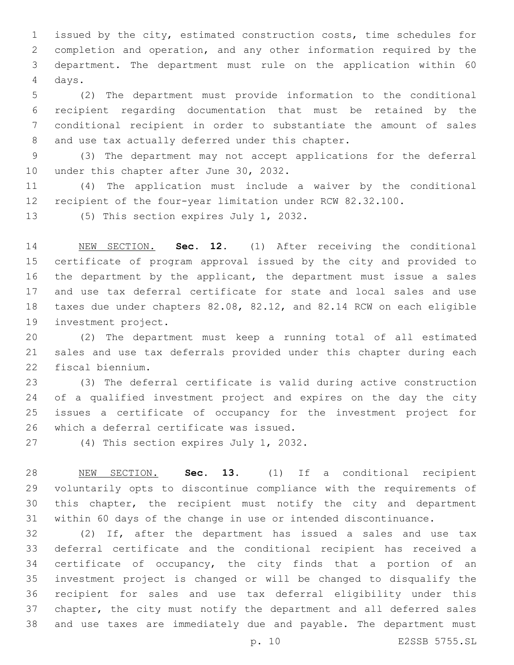issued by the city, estimated construction costs, time schedules for completion and operation, and any other information required by the department. The department must rule on the application within 60 4 days.

 (2) The department must provide information to the conditional recipient regarding documentation that must be retained by the conditional recipient in order to substantiate the amount of sales 8 and use tax actually deferred under this chapter.

 (3) The department may not accept applications for the deferral 10 under this chapter after June 30, 2032.

 (4) The application must include a waiver by the conditional recipient of the four-year limitation under RCW 82.32.100.

13 (5) This section expires July 1, 2032.

 NEW SECTION. **Sec. 12.** (1) After receiving the conditional certificate of program approval issued by the city and provided to the department by the applicant, the department must issue a sales and use tax deferral certificate for state and local sales and use taxes due under chapters 82.08, 82.12, and 82.14 RCW on each eligible investment project.

 (2) The department must keep a running total of all estimated sales and use tax deferrals provided under this chapter during each 22 fiscal biennium.

 (3) The deferral certificate is valid during active construction of a qualified investment project and expires on the day the city issues a certificate of occupancy for the investment project for 26 which a deferral certificate was issued.

27 (4) This section expires July 1, 2032.

 NEW SECTION. **Sec. 13.** (1) If a conditional recipient voluntarily opts to discontinue compliance with the requirements of this chapter, the recipient must notify the city and department within 60 days of the change in use or intended discontinuance.

 (2) If, after the department has issued a sales and use tax deferral certificate and the conditional recipient has received a certificate of occupancy, the city finds that a portion of an investment project is changed or will be changed to disqualify the recipient for sales and use tax deferral eligibility under this chapter, the city must notify the department and all deferred sales and use taxes are immediately due and payable. The department must

p. 10 E2SSB 5755.SL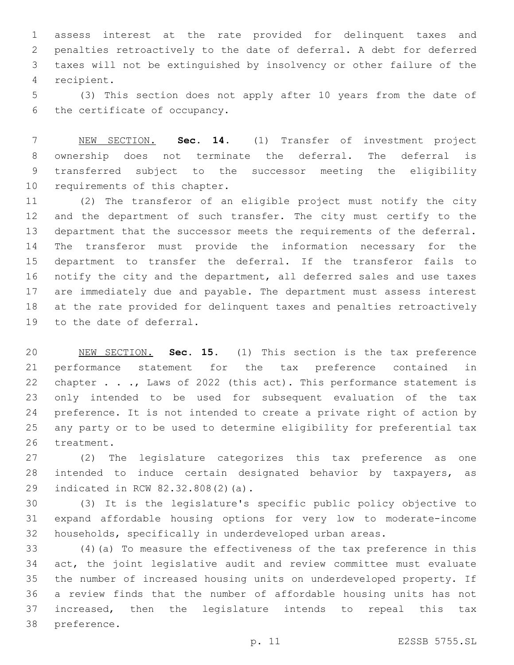assess interest at the rate provided for delinquent taxes and penalties retroactively to the date of deferral. A debt for deferred taxes will not be extinguished by insolvency or other failure of the 4 recipient.

 (3) This section does not apply after 10 years from the date of 6 the certificate of occupancy.

 NEW SECTION. **Sec. 14.** (1) Transfer of investment project ownership does not terminate the deferral. The deferral is transferred subject to the successor meeting the eligibility requirements of this chapter.

 (2) The transferor of an eligible project must notify the city 12 and the department of such transfer. The city must certify to the department that the successor meets the requirements of the deferral. The transferor must provide the information necessary for the department to transfer the deferral. If the transferor fails to notify the city and the department, all deferred sales and use taxes are immediately due and payable. The department must assess interest at the rate provided for delinquent taxes and penalties retroactively 19 to the date of deferral.

 NEW SECTION. **Sec. 15.** (1) This section is the tax preference performance statement for the tax preference contained in 22 chapter . . ., Laws of 2022 (this act). This performance statement is only intended to be used for subsequent evaluation of the tax preference. It is not intended to create a private right of action by any party or to be used to determine eligibility for preferential tax treatment.

 (2) The legislature categorizes this tax preference as one intended to induce certain designated behavior by taxpayers, as 29 indicated in RCW 82.32.808(2)(a).

 (3) It is the legislature's specific public policy objective to expand affordable housing options for very low to moderate-income households, specifically in underdeveloped urban areas.

 (4)(a) To measure the effectiveness of the tax preference in this act, the joint legislative audit and review committee must evaluate the number of increased housing units on underdeveloped property. If a review finds that the number of affordable housing units has not increased, then the legislature intends to repeal this tax 38 preference.